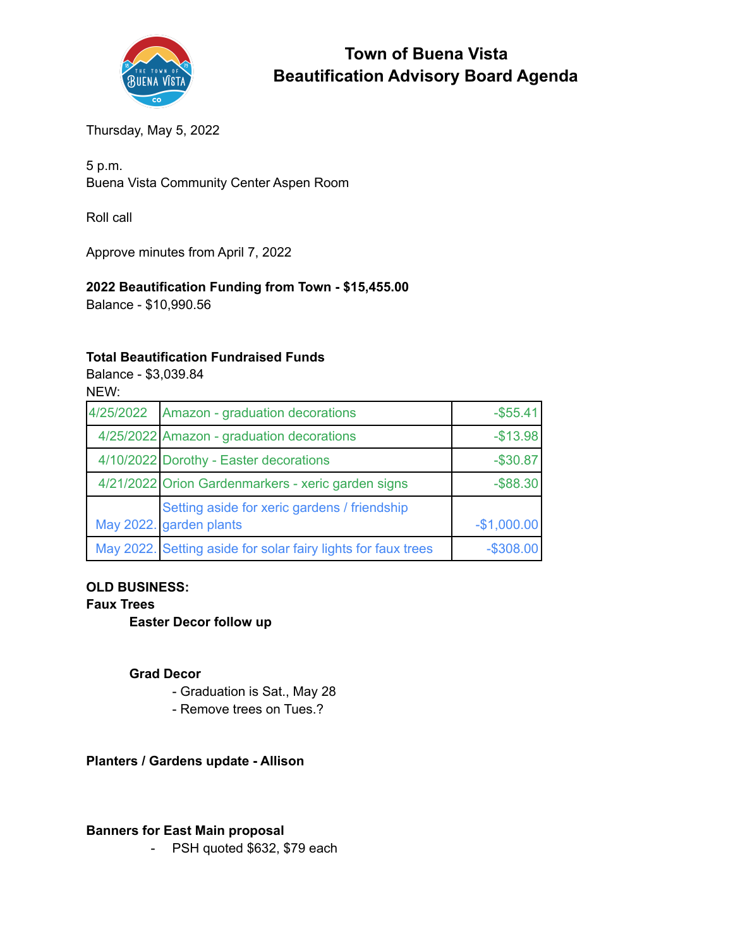

# **Town of Buena Vista Beautification Advisory Board Agenda**

Thursday, May 5, 2022

5 p.m. Buena Vista Community Center Aspen Room

Roll call

Approve minutes from April 7, 2022

# **2022 Beautification Funding from Town - \$15,455.00**

Balance - \$10,990.56

#### **Total Beautification Fundraised Funds**

Balance - \$3,039.84 NEW:

| 4/25/2022 | Amazon - graduation decorations                                         | $-$ \$55.41  |
|-----------|-------------------------------------------------------------------------|--------------|
|           | 4/25/2022 Amazon - graduation decorations                               | $-$13.98$    |
|           | 4/10/2022 Dorothy - Easter decorations                                  | $-$30.87$    |
|           | 4/21/2022 Orion Gardenmarkers - xeric garden signs                      | $-$ \$88.30  |
|           | Setting aside for xeric gardens / friendship<br>May 2022. garden plants | $-$1,000.00$ |
|           | May 2022. Setting aside for solar fairy lights for faux trees           | $-$308.00$   |

# **OLD BUSINESS:**

#### **Faux Trees**

**Easter Decor follow up**

#### **Grad Decor**

- Graduation is Sat., May 28
- Remove trees on Tues.?

# **Planters / Gardens update - Allison**

#### **Banners for East Main proposal**

- PSH quoted \$632, \$79 each